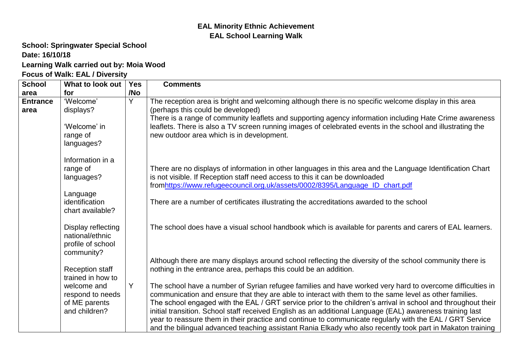#### **EAL Minority Ethnic Achievement EAL School Learning Walk**

## **School: Springwater Special School Date: 16/10/18**

### **Learning Walk carried out by: Moia Wood**

#### **Focus of Walk: EAL / Diversity**

| <b>School</b>   | <b>Yes</b><br>What to look out<br><b>Comments</b>                        |     |                                                                                                                                                                                                                                                                                                                                                                                                                                                                                                                                                                                                                                                                            |
|-----------------|--------------------------------------------------------------------------|-----|----------------------------------------------------------------------------------------------------------------------------------------------------------------------------------------------------------------------------------------------------------------------------------------------------------------------------------------------------------------------------------------------------------------------------------------------------------------------------------------------------------------------------------------------------------------------------------------------------------------------------------------------------------------------------|
| area            | for                                                                      | /No |                                                                                                                                                                                                                                                                                                                                                                                                                                                                                                                                                                                                                                                                            |
| <b>Entrance</b> | 'Welcome'                                                                | Y   | The reception area is bright and welcoming although there is no specific welcome display in this area                                                                                                                                                                                                                                                                                                                                                                                                                                                                                                                                                                      |
| area            | displays?                                                                |     | (perhaps this could be developed)                                                                                                                                                                                                                                                                                                                                                                                                                                                                                                                                                                                                                                          |
|                 | 'Welcome' in<br>range of<br>languages?                                   |     | There is a range of community leaflets and supporting agency information including Hate Crime awareness<br>leaflets. There is also a TV screen running images of celebrated events in the school and illustrating the<br>new outdoor area which is in development.                                                                                                                                                                                                                                                                                                                                                                                                         |
|                 | Information in a<br>range of<br>languages?                               |     | There are no displays of information in other languages in this area and the Language Identification Chart<br>is not visible. If Reception staff need access to this it can be downloaded<br>fromhttps://www.refugeecouncil.org.uk/assets/0002/8395/Language_ID_chart.pdf                                                                                                                                                                                                                                                                                                                                                                                                  |
|                 | Language<br>identification<br>chart available?                           |     | There are a number of certificates illustrating the accreditations awarded to the school                                                                                                                                                                                                                                                                                                                                                                                                                                                                                                                                                                                   |
|                 | Display reflecting<br>national/ethnic<br>profile of school<br>community? |     | The school does have a visual school handbook which is available for parents and carers of EAL learners.                                                                                                                                                                                                                                                                                                                                                                                                                                                                                                                                                                   |
|                 | <b>Reception staff</b><br>trained in how to                              |     | Although there are many displays around school reflecting the diversity of the school community there is<br>nothing in the entrance area, perhaps this could be an addition.                                                                                                                                                                                                                                                                                                                                                                                                                                                                                               |
|                 | welcome and<br>respond to needs<br>of ME parents<br>and children?        | Y   | The school have a number of Syrian refugee families and have worked very hard to overcome difficulties in<br>communication and ensure that they are able to interact with them to the same level as other families.<br>The school engaged with the EAL / GRT service prior to the children's arrival in school and throughout their<br>initial transition. School staff received English as an additional Language (EAL) awareness training last<br>year to reassure them in their practice and continue to communicate regularly with the EAL / GRT Service<br>and the bilingual advanced teaching assistant Rania Elkady who also recently took part in Makaton training |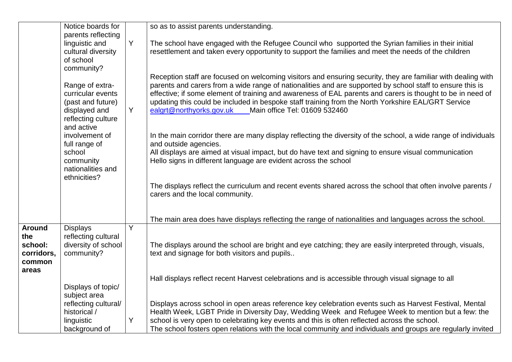|               | Notice boards for                    |   | so as to assist parents understanding.                                                                                                                                                                      |
|---------------|--------------------------------------|---|-------------------------------------------------------------------------------------------------------------------------------------------------------------------------------------------------------------|
|               | parents reflecting                   |   |                                                                                                                                                                                                             |
|               | linguistic and                       | Y | The school have engaged with the Refugee Council who supported the Syrian families in their initial                                                                                                         |
|               | cultural diversity                   |   | resettlement and taken every opportunity to support the families and meet the needs of the children                                                                                                         |
|               | of school                            |   |                                                                                                                                                                                                             |
|               | community?                           |   |                                                                                                                                                                                                             |
|               |                                      |   | Reception staff are focused on welcoming visitors and ensuring security, they are familiar with dealing with                                                                                                |
|               | Range of extra-                      |   | parents and carers from a wide range of nationalities and are supported by school staff to ensure this is                                                                                                   |
|               | curricular events                    |   | effective; if some element of training and awareness of EAL parents and carers is thought to be in need of                                                                                                  |
|               | (past and future)                    | Y | updating this could be included in bespoke staff training from the North Yorkshire EAL/GRT Service                                                                                                          |
|               | displayed and                        |   | ealgrt@northyorks.gov.uk<br>Main office Tel: 01609 532460                                                                                                                                                   |
|               | reflecting culture<br>and active     |   |                                                                                                                                                                                                             |
|               | involvement of                       |   | In the main corridor there are many display reflecting the diversity of the school, a wide range of individuals                                                                                             |
|               | full range of                        |   | and outside agencies.                                                                                                                                                                                       |
|               | school                               |   | All displays are aimed at visual impact, but do have text and signing to ensure visual communication                                                                                                        |
|               | community                            |   | Hello signs in different language are evident across the school                                                                                                                                             |
|               | nationalities and                    |   |                                                                                                                                                                                                             |
|               | ethnicities?                         |   |                                                                                                                                                                                                             |
|               |                                      |   | The displays reflect the curriculum and recent events shared across the school that often involve parents /                                                                                                 |
|               |                                      |   | carers and the local community.                                                                                                                                                                             |
|               |                                      |   |                                                                                                                                                                                                             |
|               |                                      |   |                                                                                                                                                                                                             |
|               |                                      |   | The main area does have displays reflecting the range of nationalities and languages across the school.                                                                                                     |
| <b>Around</b> | <b>Displays</b>                      | Y |                                                                                                                                                                                                             |
| the           | reflecting cultural                  |   |                                                                                                                                                                                                             |
| school:       | diversity of school                  |   | The displays around the school are bright and eye catching; they are easily interpreted through, visuals,                                                                                                   |
| corridors,    | community?                           |   | text and signage for both visitors and pupils                                                                                                                                                               |
| common        |                                      |   |                                                                                                                                                                                                             |
| areas         |                                      |   |                                                                                                                                                                                                             |
|               |                                      |   | Hall displays reflect recent Harvest celebrations and is accessible through visual signage to all                                                                                                           |
|               | Displays of topic/                   |   |                                                                                                                                                                                                             |
|               | subject area                         |   |                                                                                                                                                                                                             |
|               | reflecting cultural/<br>historical / |   | Displays across school in open areas reference key celebration events such as Harvest Festival, Mental<br>Health Week, LGBT Pride in Diversity Day, Wedding Week and Refugee Week to mention but a few: the |
|               | linguistic                           | Y | school is very open to celebrating key events and this is often reflected across the school.                                                                                                                |
|               |                                      |   |                                                                                                                                                                                                             |
|               | background of                        |   | The school fosters open relations with the local community and individuals and groups are regularly invited                                                                                                 |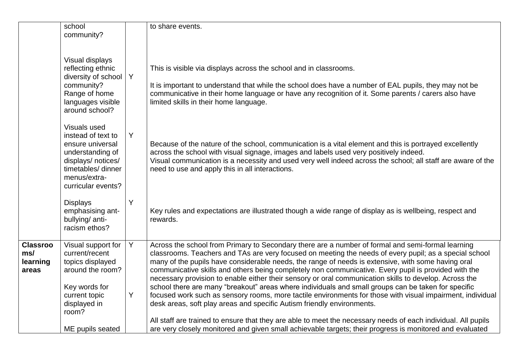|                                             | school<br>community?                                                                                                                                        |        | to share events.                                                                                                                                                                                                                                                                                                                                                                                                                                                                                                                                                                                                                                                                                                                                                                                                                   |
|---------------------------------------------|-------------------------------------------------------------------------------------------------------------------------------------------------------------|--------|------------------------------------------------------------------------------------------------------------------------------------------------------------------------------------------------------------------------------------------------------------------------------------------------------------------------------------------------------------------------------------------------------------------------------------------------------------------------------------------------------------------------------------------------------------------------------------------------------------------------------------------------------------------------------------------------------------------------------------------------------------------------------------------------------------------------------------|
|                                             | Visual displays<br>reflecting ethnic<br>diversity of school<br>community?<br>Range of home<br>languages visible<br>around school?                           | Y      | This is visible via displays across the school and in classrooms.<br>It is important to understand that while the school does have a number of EAL pupils, they may not be<br>communicative in their home language or have any recognition of it. Some parents / carers also have<br>limited skills in their home language.                                                                                                                                                                                                                                                                                                                                                                                                                                                                                                        |
|                                             | Visuals used<br>instead of text to<br>ensure universal<br>understanding of<br>displays/ notices/<br>timetables/dinner<br>menus/extra-<br>curricular events? | Y      | Because of the nature of the school, communication is a vital element and this is portrayed excellently<br>across the school with visual signage, images and labels used very positively indeed.<br>Visual communication is a necessity and used very well indeed across the school; all staff are aware of the<br>need to use and apply this in all interactions.                                                                                                                                                                                                                                                                                                                                                                                                                                                                 |
|                                             | <b>Displays</b><br>emphasising ant-<br>bullying/ anti-<br>racism ethos?                                                                                     | Y      | Key rules and expectations are illustrated though a wide range of display as is wellbeing, respect and<br>rewards.                                                                                                                                                                                                                                                                                                                                                                                                                                                                                                                                                                                                                                                                                                                 |
| <b>Classroo</b><br>ms/<br>learning<br>areas | Visual support for<br>current/recent<br>topics displayed<br>around the room?<br>Key words for<br>current topic<br>displayed in                              | Y<br>Y | Across the school from Primary to Secondary there are a number of formal and semi-formal learning<br>classrooms. Teachers and TAs are very focused on meeting the needs of every pupil; as a special school<br>many of the pupils have considerable needs, the range of needs is extensive, with some having oral<br>communicative skills and others being completely non communicative. Every pupil is provided with the<br>necessary provision to enable either their sensory or oral communication skills to develop. Across the<br>school there are many "breakout" areas where individuals and small groups can be taken for specific<br>focused work such as sensory rooms, more tactile environments for those with visual impairment, individual<br>desk areas, soft play areas and specific Autism friendly environments. |
|                                             | room?<br>ME pupils seated                                                                                                                                   |        | All staff are trained to ensure that they are able to meet the necessary needs of each individual. All pupils<br>are very closely monitored and given small achievable targets; their progress is monitored and evaluated                                                                                                                                                                                                                                                                                                                                                                                                                                                                                                                                                                                                          |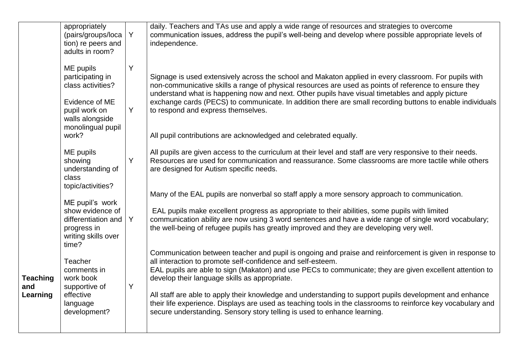|                                    | appropriately<br>(pairs/groups/loca<br>tion) re peers and<br>adults in room?                                                  | Y      | daily. Teachers and TAs use and apply a wide range of resources and strategies to overcome<br>communication issues, address the pupil's well-being and develop where possible appropriate levels of<br>independence.                                                                                                                                                                                                                                                                                                                                                                                                                       |
|------------------------------------|-------------------------------------------------------------------------------------------------------------------------------|--------|--------------------------------------------------------------------------------------------------------------------------------------------------------------------------------------------------------------------------------------------------------------------------------------------------------------------------------------------------------------------------------------------------------------------------------------------------------------------------------------------------------------------------------------------------------------------------------------------------------------------------------------------|
|                                    | ME pupils<br>participating in<br>class activities?<br>Evidence of ME<br>pupil work on<br>walls alongside<br>monolingual pupil | Y<br>Y | Signage is used extensively across the school and Makaton applied in every classroom. For pupils with<br>non-communicative skills a range of physical resources are used as points of reference to ensure they<br>understand what is happening now and next. Other pupils have visual timetables and apply picture<br>exchange cards (PECS) to communicate. In addition there are small recording buttons to enable individuals<br>to respond and express themselves.                                                                                                                                                                      |
|                                    | work?                                                                                                                         |        | All pupil contributions are acknowledged and celebrated equally.                                                                                                                                                                                                                                                                                                                                                                                                                                                                                                                                                                           |
|                                    | ME pupils<br>showing<br>understanding of<br>class<br>topic/activities?                                                        | Y      | All pupils are given access to the curriculum at their level and staff are very responsive to their needs.<br>Resources are used for communication and reassurance. Some classrooms are more tactile while others<br>are designed for Autism specific needs.                                                                                                                                                                                                                                                                                                                                                                               |
|                                    | ME pupil's work<br>show evidence of<br>differentiation and<br>progress in<br>writing skills over<br>time?                     | Y      | Many of the EAL pupils are nonverbal so staff apply a more sensory approach to communication.<br>EAL pupils make excellent progress as appropriate to their abilities, some pupils with limited<br>communication ability are now using 3 word sentences and have a wide range of single word vocabulary;<br>the well-being of refugee pupils has greatly improved and they are developing very well.                                                                                                                                                                                                                                       |
| <b>Teaching</b><br>and<br>Learning | Teacher<br>comments in<br>work book<br>supportive of<br>effective<br>language<br>development?                                 | Υ      | Communication between teacher and pupil is ongoing and praise and reinforcement is given in response to<br>all interaction to promote self-confidence and self-esteem.<br>EAL pupils are able to sign (Makaton) and use PECs to communicate; they are given excellent attention to<br>develop their language skills as appropriate.<br>All staff are able to apply their knowledge and understanding to support pupils development and enhance<br>their life experience. Displays are used as teaching tools in the classrooms to reinforce key vocabulary and<br>secure understanding. Sensory story telling is used to enhance learning. |
|                                    |                                                                                                                               |        |                                                                                                                                                                                                                                                                                                                                                                                                                                                                                                                                                                                                                                            |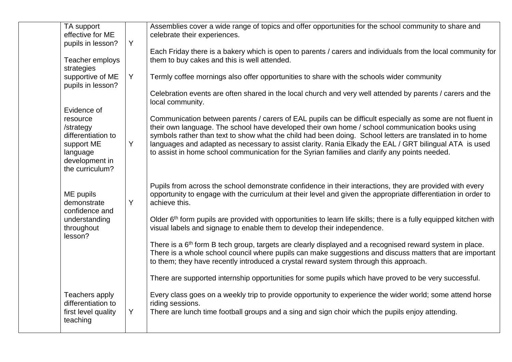| TA support<br>effective for ME                                                                             |   | Assemblies cover a wide range of topics and offer opportunities for the school community to share and<br>celebrate their experiences.                                                                                                                                                                                                                                                                                                                                                                                                |
|------------------------------------------------------------------------------------------------------------|---|--------------------------------------------------------------------------------------------------------------------------------------------------------------------------------------------------------------------------------------------------------------------------------------------------------------------------------------------------------------------------------------------------------------------------------------------------------------------------------------------------------------------------------------|
| pupils in lesson?                                                                                          | Y |                                                                                                                                                                                                                                                                                                                                                                                                                                                                                                                                      |
| Teacher employs<br>strategies                                                                              |   | Each Friday there is a bakery which is open to parents / carers and individuals from the local community for<br>them to buy cakes and this is well attended.                                                                                                                                                                                                                                                                                                                                                                         |
| supportive of ME<br>pupils in lesson?                                                                      | Y | Termly coffee mornings also offer opportunities to share with the schools wider community                                                                                                                                                                                                                                                                                                                                                                                                                                            |
|                                                                                                            |   | Celebration events are often shared in the local church and very well attended by parents / carers and the<br>local community.                                                                                                                                                                                                                                                                                                                                                                                                       |
| Evidence of                                                                                                |   |                                                                                                                                                                                                                                                                                                                                                                                                                                                                                                                                      |
| resource<br>/strategy<br>differentiation to<br>support ME<br>language<br>development in<br>the curriculum? | Y | Communication between parents / carers of EAL pupils can be difficult especially as some are not fluent in<br>their own language. The school have developed their own home / school communication books using<br>symbols rather than text to show what the child had been doing. School letters are translated in to home<br>languages and adapted as necessary to assist clarity. Rania Elkady the EAL / GRT bilingual ATA is used<br>to assist in home school communication for the Syrian families and clarify any points needed. |
| ME pupils<br>demonstrate<br>confidence and                                                                 | Y | Pupils from across the school demonstrate confidence in their interactions, they are provided with every<br>opportunity to engage with the curriculum at their level and given the appropriate differentiation in order to<br>achieve this.                                                                                                                                                                                                                                                                                          |
| understanding<br>throughout                                                                                |   | Older 6 <sup>th</sup> form pupils are provided with opportunities to learn life skills; there is a fully equipped kitchen with<br>visual labels and signage to enable them to develop their independence.                                                                                                                                                                                                                                                                                                                            |
| lesson?                                                                                                    |   | There is a 6 <sup>th</sup> form B tech group, targets are clearly displayed and a recognised reward system in place.<br>There is a whole school council where pupils can make suggestions and discuss matters that are important<br>to them; they have recently introduced a crystal reward system through this approach.                                                                                                                                                                                                            |
|                                                                                                            |   | There are supported internship opportunities for some pupils which have proved to be very successful.                                                                                                                                                                                                                                                                                                                                                                                                                                |
| Teachers apply<br>differentiation to                                                                       |   | Every class goes on a weekly trip to provide opportunity to experience the wider world; some attend horse<br>riding sessions.                                                                                                                                                                                                                                                                                                                                                                                                        |
| first level quality<br>teaching                                                                            | Y | There are lunch time football groups and a sing and sign choir which the pupils enjoy attending.                                                                                                                                                                                                                                                                                                                                                                                                                                     |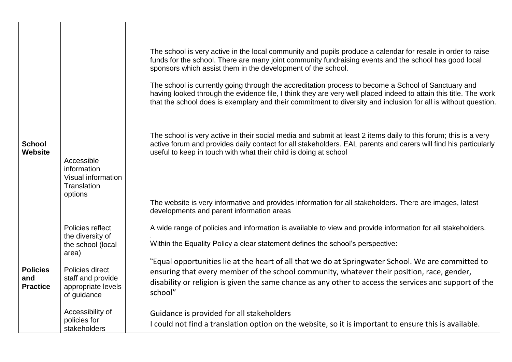|                                           |                                                                           | The school is very active in the local community and pupils produce a calendar for resale in order to raise<br>funds for the school. There are many joint community fundraising events and the school has good local<br>sponsors which assist them in the development of the school.<br>The school is currently going through the accreditation process to become a School of Sanctuary and<br>having looked through the evidence file, I think they are very well placed indeed to attain this title. The work<br>that the school does is exemplary and their commitment to diversity and inclusion for all is without question. |
|-------------------------------------------|---------------------------------------------------------------------------|-----------------------------------------------------------------------------------------------------------------------------------------------------------------------------------------------------------------------------------------------------------------------------------------------------------------------------------------------------------------------------------------------------------------------------------------------------------------------------------------------------------------------------------------------------------------------------------------------------------------------------------|
| <b>School</b><br><b>Website</b>           | Accessible<br>information<br>Visual information<br>Translation<br>options | The school is very active in their social media and submit at least 2 items daily to this forum; this is a very<br>active forum and provides daily contact for all stakeholders. EAL parents and carers will find his particularly<br>useful to keep in touch with what their child is doing at school<br>The website is very informative and provides information for all stakeholders. There are images, latest                                                                                                                                                                                                                 |
|                                           |                                                                           | developments and parent information areas                                                                                                                                                                                                                                                                                                                                                                                                                                                                                                                                                                                         |
|                                           | Policies reflect<br>the diversity of<br>the school (local<br>area)        | A wide range of policies and information is available to view and provide information for all stakeholders.<br>Within the Equality Policy a clear statement defines the school's perspective:                                                                                                                                                                                                                                                                                                                                                                                                                                     |
| <b>Policies</b><br>and<br><b>Practice</b> | Policies direct<br>staff and provide<br>appropriate levels<br>of guidance | "Equal opportunities lie at the heart of all that we do at Springwater School. We are committed to<br>ensuring that every member of the school community, whatever their position, race, gender,<br>disability or religion is given the same chance as any other to access the services and support of the<br>school"                                                                                                                                                                                                                                                                                                             |
|                                           | Accessibility of<br>policies for<br>stakeholders                          | Guidance is provided for all stakeholders<br>I could not find a translation option on the website, so it is important to ensure this is available.                                                                                                                                                                                                                                                                                                                                                                                                                                                                                |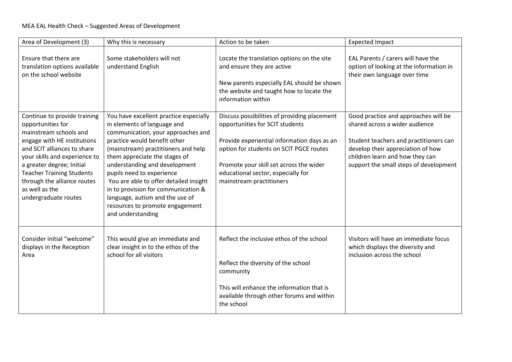#### MEA EAL Health Check – Suggested Areas of Development

| Area of Development (3)                                                                                                                                                                                                                                                                                              | Why this is necessary                                                                                                                                                                                                                                                                                                                                                                                                                                         | Action to be taken                                                                                                                                                                                                                                                                     | <b>Expected Impact</b>                                                                                                                                                                                                             |  |  |
|----------------------------------------------------------------------------------------------------------------------------------------------------------------------------------------------------------------------------------------------------------------------------------------------------------------------|---------------------------------------------------------------------------------------------------------------------------------------------------------------------------------------------------------------------------------------------------------------------------------------------------------------------------------------------------------------------------------------------------------------------------------------------------------------|----------------------------------------------------------------------------------------------------------------------------------------------------------------------------------------------------------------------------------------------------------------------------------------|------------------------------------------------------------------------------------------------------------------------------------------------------------------------------------------------------------------------------------|--|--|
| Ensure that there are<br>translation options available<br>on the school website                                                                                                                                                                                                                                      | Some stakeholders will not<br>understand English                                                                                                                                                                                                                                                                                                                                                                                                              | Locate the translation options on the site<br>and ensure they are active<br>New parents especially EAL should be shown<br>the website and taught how to locate the<br>information within                                                                                               | EAL Parents / carers will have the<br>option of looking at the information in<br>their own language over time                                                                                                                      |  |  |
| Continue to provide training<br>opportunities for<br>mainstream schools and<br>engage with HE institutions<br>and SCIT alliances to share<br>your skills and experience to<br>a greater degree; Initial<br><b>Teacher Training Students</b><br>through the alliance routes<br>as well as the<br>undergraduate routes | You have excellent practice especially<br>in elements of language and<br>communication, your approaches and<br>practice would benefit other<br>(mainstream) practitioners and help<br>them appreciate the stages of<br>understanding and development<br>pupils need to experience<br>You are able to offer detailed insight<br>in to provision for communication &<br>language, autism and the use of<br>resources to promote engagement<br>and understanding | Discuss possibilities of providing placement<br>opportunities for SCIT students<br>Provide experiential information days as an<br>option for students on SCIT PGCE routes<br>Promote your skill set across the wider<br>educational sector, especially for<br>mainstream practitioners | Good practice and approaches will be<br>shared across a wider audience<br>Student teachers and practitioners can<br>develop their appreciation of how<br>children learn and how they can<br>support the small steps of development |  |  |
| Consider initial "welcome"<br>displays in the Reception<br>Area                                                                                                                                                                                                                                                      | This would give an immediate and<br>clear insight in to the ethos of the<br>school for all visitors                                                                                                                                                                                                                                                                                                                                                           | Reflect the inclusive ethos of the school<br>Reflect the diversity of the school<br>community<br>This will enhance the information that is<br>available through other forums and within<br>the school                                                                                  | Visitors will have an immediate focus<br>which displays the diversity and<br>inclusion across the school                                                                                                                           |  |  |